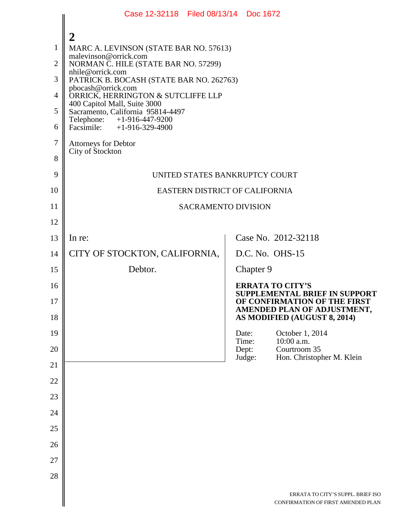|                                                                           | Case 12-32118 Filed 08/13/14 Doc 1672                                                                                                                                                                                                                                                                                                                                                                                                     |  |                          |                                                                                                                                                                |  |
|---------------------------------------------------------------------------|-------------------------------------------------------------------------------------------------------------------------------------------------------------------------------------------------------------------------------------------------------------------------------------------------------------------------------------------------------------------------------------------------------------------------------------------|--|--------------------------|----------------------------------------------------------------------------------------------------------------------------------------------------------------|--|
| $\mathbf{1}$<br>$\overline{2}$<br>3<br>$\overline{4}$<br>5<br>6<br>7<br>8 | $\mathbf{2}$<br>MARC A. LEVINSON (STATE BAR NO. 57613)<br>malevinson@orrick.com<br>NORMAN C. HILE (STATE BAR NO. 57299)<br>nhile@orrick.com<br>PATRICK B. BOCASH (STATE BAR NO. 262763)<br>pbocash@orrick.com<br>ORRICK, HERRINGTON & SUTCLIFFE LLP<br>400 Capitol Mall, Suite 3000<br>Sacramento, California 95814-4497<br>Telephone: +1-916-447-9200<br>Facsimile: $+1-916-329-4900$<br><b>Attorneys for Debtor</b><br>City of Stockton |  |                          |                                                                                                                                                                |  |
| 9                                                                         | UNITED STATES BANKRUPTCY COURT                                                                                                                                                                                                                                                                                                                                                                                                            |  |                          |                                                                                                                                                                |  |
| 10                                                                        | EASTERN DISTRICT OF CALIFORNIA                                                                                                                                                                                                                                                                                                                                                                                                            |  |                          |                                                                                                                                                                |  |
| 11                                                                        | <b>SACRAMENTO DIVISION</b>                                                                                                                                                                                                                                                                                                                                                                                                                |  |                          |                                                                                                                                                                |  |
| 12                                                                        |                                                                                                                                                                                                                                                                                                                                                                                                                                           |  |                          |                                                                                                                                                                |  |
| 13                                                                        | In re:                                                                                                                                                                                                                                                                                                                                                                                                                                    |  |                          | Case No. 2012-32118                                                                                                                                            |  |
| 14                                                                        | CITY OF STOCKTON, CALIFORNIA,                                                                                                                                                                                                                                                                                                                                                                                                             |  |                          | D.C. No. OHS-15                                                                                                                                                |  |
| 15                                                                        | Debtor.                                                                                                                                                                                                                                                                                                                                                                                                                                   |  | Chapter 9                |                                                                                                                                                                |  |
| 16<br>17<br>18                                                            |                                                                                                                                                                                                                                                                                                                                                                                                                                           |  |                          | <b>ERRATA TO CITY'S</b><br><b>SUPPLEMENTAL BRIEF IN SUPPORT</b><br>OF CONFIRMATION OF THE FIRST<br>AMENDED PLAN OF ADJUSTMENT,<br>AS MODIFIED (AUGUST 8, 2014) |  |
| 19                                                                        |                                                                                                                                                                                                                                                                                                                                                                                                                                           |  | Date:                    | October 1, 2014                                                                                                                                                |  |
| 20                                                                        |                                                                                                                                                                                                                                                                                                                                                                                                                                           |  | Time:<br>Dept:<br>Judge: | 10:00 a.m.<br>Courtroom 35<br>Hon. Christopher M. Klein                                                                                                        |  |
| 21                                                                        |                                                                                                                                                                                                                                                                                                                                                                                                                                           |  |                          |                                                                                                                                                                |  |
| 22                                                                        |                                                                                                                                                                                                                                                                                                                                                                                                                                           |  |                          |                                                                                                                                                                |  |
| 23                                                                        |                                                                                                                                                                                                                                                                                                                                                                                                                                           |  |                          |                                                                                                                                                                |  |
| 24                                                                        |                                                                                                                                                                                                                                                                                                                                                                                                                                           |  |                          |                                                                                                                                                                |  |
| 25<br>26                                                                  |                                                                                                                                                                                                                                                                                                                                                                                                                                           |  |                          |                                                                                                                                                                |  |
| 27                                                                        |                                                                                                                                                                                                                                                                                                                                                                                                                                           |  |                          |                                                                                                                                                                |  |
| 28                                                                        |                                                                                                                                                                                                                                                                                                                                                                                                                                           |  |                          |                                                                                                                                                                |  |
|                                                                           |                                                                                                                                                                                                                                                                                                                                                                                                                                           |  |                          | ERRATA TO CITY'S SUPPL. BRIEF ISO<br>CONFIRMATION OF FIRST AMENDED PLAN                                                                                        |  |